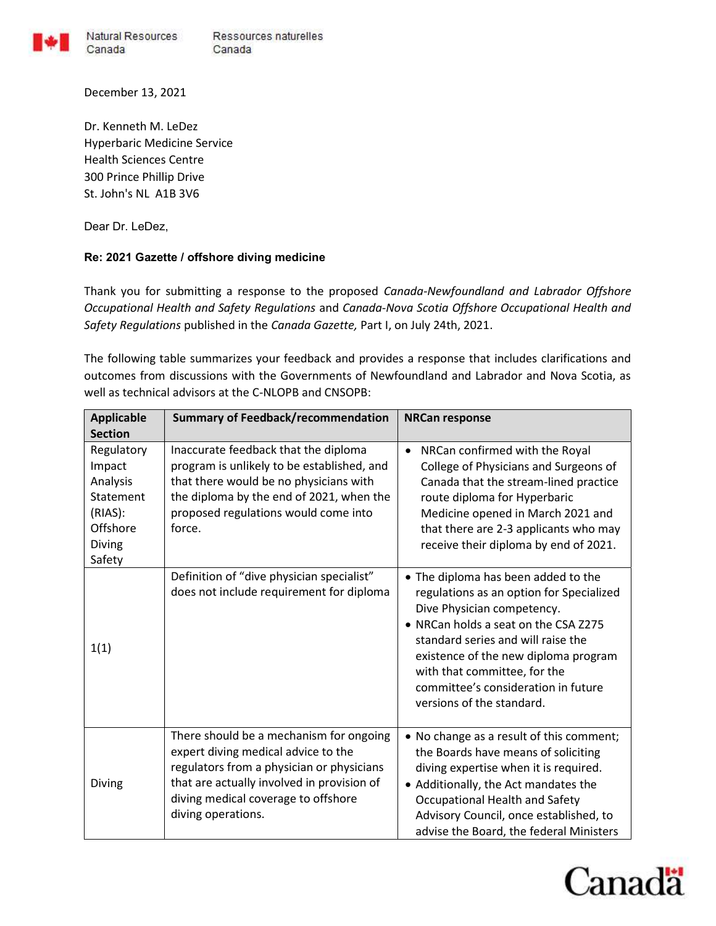

Natural Resources Ressources naturelles Canada Canada

Dr. Kenneth M. LeDez Hyperbaric Medicine Service Health Sciences Centre 300 Prince Phillip Drive St. John's NL A1B 3V6

Dear Dr. LeDez,

December 13, 2021

## Re: 2021 Gazette / offshore diving medicine

Thank you for submitting a response to the proposed Canada-Newfoundland and Labrador Offshore Occupational Health and Safety Regulations and Canada-Nova Scotia Offshore Occupational Health and Safety Regulations published in the Canada Gazette, Part I, on July 24th, 2021.

The following table summarizes your feedback and provides a response that includes clarifications and outcomes from discussions with the Governments of Newfoundland and Labrador and Nova Scotia, as well as technical advisors at the C-NLOPB and CNSOPB:

| <b>Applicable</b><br><b>Section</b>                                                      | <b>Summary of Feedback/recommendation</b>                                                                                                                                                                                              | <b>NRCan response</b>                                                                                                                                                                                                                                                                                                                   |
|------------------------------------------------------------------------------------------|----------------------------------------------------------------------------------------------------------------------------------------------------------------------------------------------------------------------------------------|-----------------------------------------------------------------------------------------------------------------------------------------------------------------------------------------------------------------------------------------------------------------------------------------------------------------------------------------|
| Regulatory<br>Impact<br>Analysis<br>Statement<br>(RIAS):<br>Offshore<br>Diving<br>Safety | Inaccurate feedback that the diploma<br>program is unlikely to be established, and<br>that there would be no physicians with<br>the diploma by the end of 2021, when the<br>proposed regulations would come into<br>force.             | NRCan confirmed with the Royal<br>$\bullet$<br>College of Physicians and Surgeons of<br>Canada that the stream-lined practice<br>route diploma for Hyperbaric<br>Medicine opened in March 2021 and<br>that there are 2-3 applicants who may<br>receive their diploma by end of 2021.                                                    |
| 1(1)                                                                                     | Definition of "dive physician specialist"<br>does not include requirement for diploma                                                                                                                                                  | • The diploma has been added to the<br>regulations as an option for Specialized<br>Dive Physician competency.<br>• NRCan holds a seat on the CSA Z275<br>standard series and will raise the<br>existence of the new diploma program<br>with that committee, for the<br>committee's consideration in future<br>versions of the standard. |
| Diving                                                                                   | There should be a mechanism for ongoing<br>expert diving medical advice to the<br>regulators from a physician or physicians<br>that are actually involved in provision of<br>diving medical coverage to offshore<br>diving operations. | • No change as a result of this comment;<br>the Boards have means of soliciting<br>diving expertise when it is required.<br>• Additionally, the Act mandates the<br>Occupational Health and Safety<br>Advisory Council, once established, to<br>advise the Board, the federal Ministers                                                 |